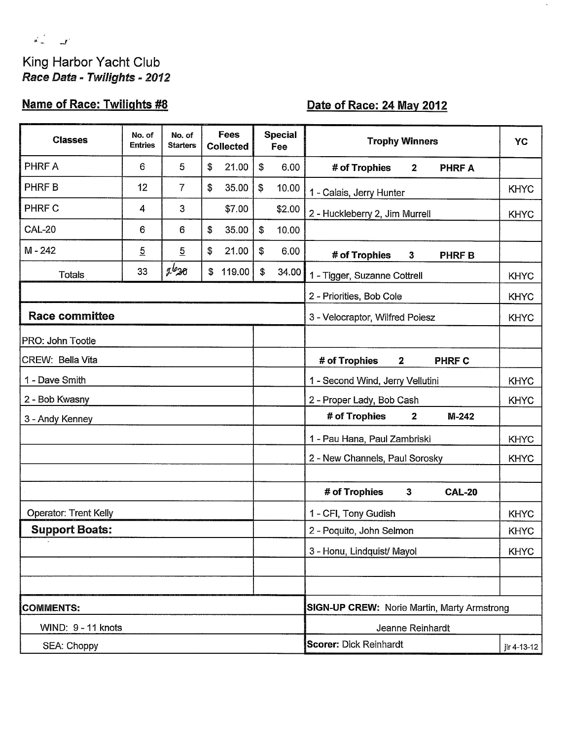# $\mathbf{a}^{\text{max}}_{\text{max}} = \mathbf{a}^{\text{max}}$ King Harbor Yacht Club<br>Race Data - Twilights - 2012

## **Name of Race: Twilights #8**

## Date of Race: 24 May 2012

| <b>Classes</b>               | No. of<br><b>Entries</b> | No. of<br><b>Starters</b> | Fees<br><b>Collected</b> | <b>Special</b><br>Fee              | <b>Trophy Winners</b>                              | YC          |  |  |
|------------------------------|--------------------------|---------------------------|--------------------------|------------------------------------|----------------------------------------------------|-------------|--|--|
| PHRF A                       | 6                        | 5                         | \$<br>21.00              | $\boldsymbol{\mathsf{s}}$<br>6.00  | # of Trophies<br><b>PHRF A</b><br>$\mathbf{2}$     |             |  |  |
| PHRF B                       | 12                       | $\overline{7}$            | \$<br>35.00              | $\boldsymbol{\mathsf{S}}$<br>10.00 | 1 - Calais, Jerry Hunter                           | <b>KHYC</b> |  |  |
| PHRF C                       | 4                        | 3                         | \$7.00                   | \$2.00                             | 2 - Huckleberry 2, Jim Murrell                     | <b>KHYC</b> |  |  |
| <b>CAL-20</b>                | 6                        | 6                         | \$<br>35.00              | \$<br>10.00                        |                                                    |             |  |  |
| $M - 242$                    | $\overline{5}$           | $\overline{5}$            | \$<br>21.00              | \$<br>6.00                         | # of Trophies<br>$\mathbf{3}$<br><b>PHRF B</b>     |             |  |  |
| <b>Totals</b>                | 33                       | $2^{l_2}36$               | 119.00<br>\$             | \$<br>34.00                        | 1 - Tigger, Suzanne Cottrell                       | <b>KHYC</b> |  |  |
|                              |                          |                           |                          |                                    | 2 - Priorities, Bob Cole                           | <b>KHYC</b> |  |  |
| <b>Race committee</b>        |                          |                           |                          |                                    | 3 - Velocraptor, Wilfred Poiesz                    | <b>KHYC</b> |  |  |
| PRO: John Tootle             |                          |                           |                          |                                    |                                                    |             |  |  |
| CREW: Bella Vita             |                          |                           |                          |                                    | # of Trophies<br>PHRF C<br>$\mathbf{2}$            |             |  |  |
| 1 - Dave Smith               |                          |                           |                          |                                    | 1 - Second Wind, Jerry Vellutini                   | <b>KHYC</b> |  |  |
| 2 - Bob Kwasny               |                          |                           |                          |                                    | 2 - Proper Lady, Bob Cash                          | <b>KHYC</b> |  |  |
| 3 - Andy Kenney              |                          |                           |                          |                                    | # of Trophies<br>$M-242$<br>$\mathbf{2}$           |             |  |  |
|                              |                          |                           |                          |                                    | 1 - Pau Hana, Paul Zambriski                       | <b>KHYC</b> |  |  |
|                              |                          |                           |                          |                                    | 2 - New Channels, Paul Sorosky                     | <b>KHYC</b> |  |  |
|                              |                          |                           |                          |                                    |                                                    |             |  |  |
|                              |                          |                           |                          |                                    | # of Trophies<br>3<br><b>CAL-20</b>                |             |  |  |
| <b>Operator: Trent Kelly</b> |                          |                           |                          |                                    | 1 - CFI, Tony Gudish                               | <b>KHYC</b> |  |  |
| <b>Support Boats:</b>        |                          |                           |                          |                                    | 2 - Poquito, John Selmon                           | <b>KHYC</b> |  |  |
|                              |                          |                           |                          |                                    | 3 - Honu, Lindquist/ Mayol                         | <b>KHYC</b> |  |  |
|                              |                          |                           |                          |                                    |                                                    |             |  |  |
|                              |                          |                           |                          |                                    |                                                    |             |  |  |
| <b>COMMENTS:</b>             |                          |                           |                          |                                    | <b>SIGN-UP CREW: Norie Martin, Marty Armstrong</b> |             |  |  |
| WIND: 9 - 11 knots           |                          |                           |                          |                                    | Jeanne Reinhardt                                   |             |  |  |
| SEA: Choppy                  |                          |                           |                          |                                    | <b>Scorer: Dick Reinhardt</b><br>jlr 4-13-12       |             |  |  |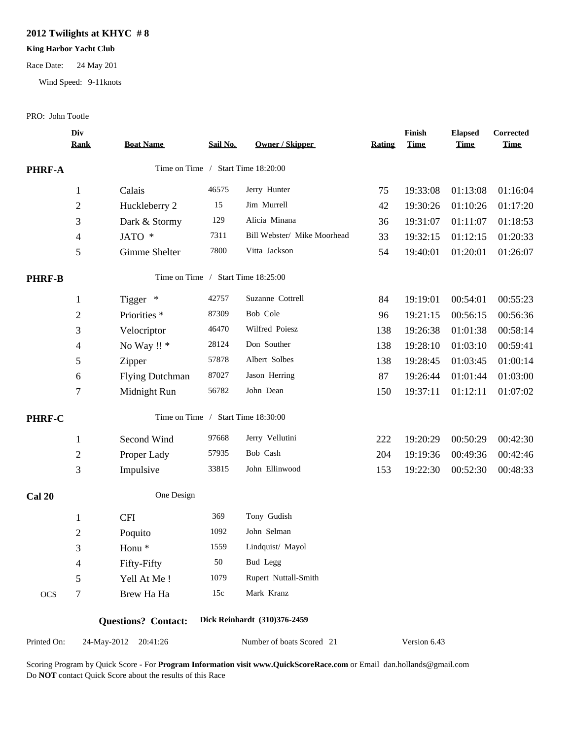#### **2012 Twilights at KHYC # 8**

#### **King Harbor Yacht Club**

#### Race Date: 24 May 201

Wind Speed: 9-11knots

#### PRO: John Tootle

|               | Div<br><b>Rank</b> | <b>Boat Name</b>           | Sail No. | <b>Owner / Skipper</b>             | Rating | Finish<br><b>Time</b> | <b>Elapsed</b><br><b>Time</b> | Corrected<br><b>Time</b> |
|---------------|--------------------|----------------------------|----------|------------------------------------|--------|-----------------------|-------------------------------|--------------------------|
| PHRF-A        |                    |                            |          | Time on Time / Start Time 18:20:00 |        |                       |                               |                          |
|               | $\mathbf{1}$       | Calais                     | 46575    | Jerry Hunter                       | 75     | 19:33:08              | 01:13:08                      | 01:16:04                 |
|               | $\overline{c}$     | Huckleberry 2              | 15       | Jim Murrell                        | 42     | 19:30:26              | 01:10:26                      | 01:17:20                 |
|               | 3                  | Dark & Stormy              | 129      | Alicia Minana                      | 36     | 19:31:07              | 01:11:07                      | 01:18:53                 |
|               | $\overline{4}$     | JATO *                     | 7311     | Bill Webster/ Mike Moorhead        | 33     | 19:32:15              | 01:12:15                      | 01:20:33                 |
|               | 5                  | Gimme Shelter              | 7800     | Vitta Jackson                      | 54     | 19:40:01              | 01:20:01                      | 01:26:07                 |
| <b>PHRF-B</b> |                    | Time on Time /             |          | Start Time 18:25:00                |        |                       |                               |                          |
|               | $\mathbf{1}$       | Tigger *                   | 42757    | Suzanne Cottrell                   | 84     | 19:19:01              | 00:54:01                      | 00:55:23                 |
|               | $\overline{c}$     | Priorities <sup>*</sup>    | 87309    | Bob Cole                           | 96     | 19:21:15              | 00:56:15                      | 00:56:36                 |
|               | 3                  | Velocriptor                | 46470    | Wilfred Poiesz                     | 138    | 19:26:38              | 01:01:38                      | 00:58:14                 |
|               | 4                  | No Way !! *                | 28124    | Don Souther                        | 138    | 19:28:10              | 01:03:10                      | 00:59:41                 |
|               | 5                  | Zipper                     | 57878    | Albert Solbes                      | 138    | 19:28:45              | 01:03:45                      | 01:00:14                 |
|               | 6                  | <b>Flying Dutchman</b>     | 87027    | Jason Herring                      | 87     | 19:26:44              | 01:01:44                      | 01:03:00                 |
|               | $\tau$             | Midnight Run               | 56782    | John Dean                          | 150    | 19:37:11              | 01:12:11                      | 01:07:02                 |
| <b>PHRF-C</b> |                    |                            |          | Time on Time / Start Time 18:30:00 |        |                       |                               |                          |
|               | $\mathbf{1}$       | Second Wind                | 97668    | Jerry Vellutini                    | 222    | 19:20:29              | 00:50:29                      | 00:42:30                 |
|               | $\boldsymbol{2}$   | Proper Lady                | 57935    | Bob Cash                           | 204    | 19:19:36              | 00:49:36                      | 00:42:46                 |
|               | $\mathfrak{Z}$     | Impulsive                  | 33815    | John Ellinwood                     | 153    | 19:22:30              | 00:52:30                      | 00:48:33                 |
| <b>Cal 20</b> |                    | One Design                 |          |                                    |        |                       |                               |                          |
|               | $\mathbf{1}$       | <b>CFI</b>                 | 369      | Tony Gudish                        |        |                       |                               |                          |
|               | $\boldsymbol{2}$   | Poquito                    | 1092     | John Selman                        |        |                       |                               |                          |
|               | 3                  | Honu <sup>*</sup>          | 1559     | Lindquist/ Mayol                   |        |                       |                               |                          |
|               | 4                  | Fifty-Fifty                | 50       | Bud Legg                           |        |                       |                               |                          |
|               | 5                  | Yell At Me!                | 1079     | Rupert Nuttall-Smith               |        |                       |                               |                          |
| <b>OCS</b>    | 7                  | Brew Ha Ha                 | 15c      | Mark Kranz                         |        |                       |                               |                          |
|               |                    | <b>Questions?</b> Contact: |          | Dick Reinhardt (310)376-2459       |        |                       |                               |                          |
| Printed On:   |                    | 24-May-2012 20:41:26       |          | Number of boats Scored 21          |        | Version 6.43          |                               |                          |
|               |                    |                            |          |                                    |        |                       |                               |                          |

Scoring Program by Quick Score - For **Program Information visit www.QuickScoreRace.com** or Email dan.hollands@gmail.com Do **NOT** contact Quick Score about the results of this Race